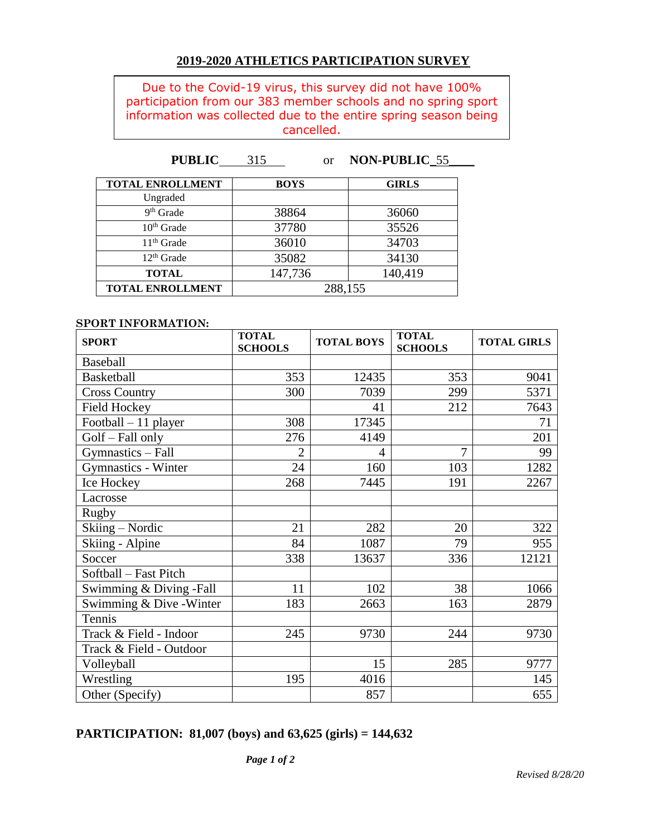## **2019-2020 ATHLETICS PARTICIPATION SURVEY**

Due to the Covid-19 virus, this survey did not have 100% participation from our 383 member schools and no spring sport information was collected due to the entire spring season being cancelled.

**PUBLIC** 315 or **NON-PUBLIC**\_55\_\_\_\_

| <b>TOTAL ENROLLMENT</b> | <b>BOYS</b> | <b>GIRLS</b> |  |
|-------------------------|-------------|--------------|--|
| Ungraded                |             |              |  |
| 9 <sup>th</sup> Grade   | 38864       | 36060        |  |
|                         |             |              |  |
| $10th$ Grade            | 37780       | 35526        |  |
| $11th$ Grade            | 36010       | 34703        |  |
| $12th$ Grade            | 35082       | 34130        |  |
| <b>TOTAL</b>            | 147,736     | 140,419      |  |
| <b>TOTAL ENROLLMENT</b> | 288,155     |              |  |

### **SPORT INFORMATION:**

| <b>SPORT</b>               | <b>TOTAL</b><br><b>SCHOOLS</b> | <b>TOTAL BOYS</b> | <b>TOTAL</b><br><b>SCHOOLS</b> | <b>TOTAL GIRLS</b> |
|----------------------------|--------------------------------|-------------------|--------------------------------|--------------------|
| <b>Baseball</b>            |                                |                   |                                |                    |
| Basketball                 | 353                            | 12435             | 353                            | 9041               |
| <b>Cross Country</b>       | 300                            | 7039              | 299                            | 5371               |
| <b>Field Hockey</b>        |                                | 41                | 212                            | 7643               |
| Football $-11$ player      | 308                            | 17345             |                                | 71                 |
| Golf - Fall only           | 276                            | 4149              |                                | 201                |
| Gymnastics - Fall          | $\overline{2}$                 | 4                 | 7                              | 99                 |
| <b>Gymnastics - Winter</b> | 24                             | 160               | 103                            | 1282               |
| Ice Hockey                 | 268                            | 7445              | 191                            | 2267               |
| Lacrosse                   |                                |                   |                                |                    |
| Rugby                      |                                |                   |                                |                    |
| Skiing - Nordic            | 21                             | 282               | 20                             | 322                |
| Skiing - Alpine            | 84                             | 1087              | 79                             | 955                |
| Soccer                     | 338                            | 13637             | 336                            | 12121              |
| Softball - Fast Pitch      |                                |                   |                                |                    |
| Swimming & Diving -Fall    | 11                             | 102               | 38                             | 1066               |
| Swimming & Dive - Winter   | 183                            | 2663              | 163                            | 2879               |
| Tennis                     |                                |                   |                                |                    |
| Track & Field - Indoor     | 245                            | 9730              | 244                            | 9730               |
| Track & Field - Outdoor    |                                |                   |                                |                    |
| Volleyball                 |                                | 15                | 285                            | 9777               |
| Wrestling                  | 195                            | 4016              |                                | 145                |
| Other (Specify)            |                                | 857               |                                | 655                |

## **PARTICIPATION: 81,007 (boys) and 63,625 (girls) = 144,632**